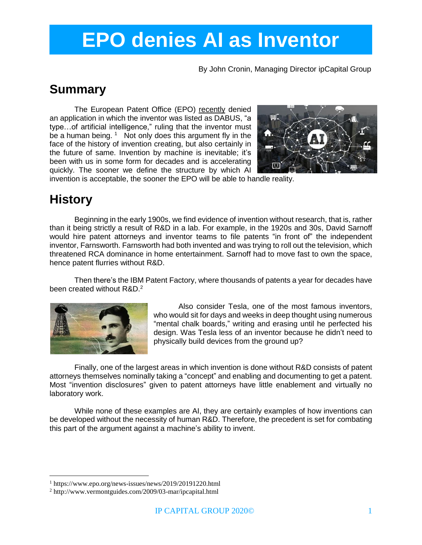# **EPO denies AI as Inventor**

By John Cronin, Managing Director ipCapital Group

### **Summary**

The European Patent Office (EPO) [recently](https://www.epo.org/news-issues/news/2019/20191220.html) denied an application in which the inventor was listed as DABUS, "a type…of artificial intelligence," ruling that the inventor must be a human being.  $1$  Not only does this argument fly in the face of the history of invention creating, but also certainly in the future of same. Invention by machine is inevitable; it's been with us in some form for decades and is accelerating quickly. The sooner we define the structure by which AI



invention is acceptable, the sooner the EPO will be able to handle reality.

#### **History**

 $\overline{a}$ 

Beginning in the early 1900s, we find evidence of invention without research, that is, rather than it being strictly a result of R&D in a lab. For example, in the 1920s and 30s, David Sarnoff would hire patent attorneys and inventor teams to file patents "in front of" the independent inventor, Farnsworth. Farnsworth had both invented and was trying to roll out the television, which threatened RCA dominance in home entertainment. Sarnoff had to move fast to own the space, hence patent flurries without R&D.

Then there's the IBM Patent Factory, where thousands of patents a year for decades have been created without R&D.<sup>2</sup>



Also consider Tesla, one of the most famous inventors, who would sit for days and weeks in deep thought using numerous "mental chalk boards," writing and erasing until he perfected his design. Was Tesla less of an inventor because he didn't need to physically build devices from the ground up?

Finally, one of the largest areas in which invention is done without R&D consists of patent attorneys themselves nominally taking a "concept" and enabling and documenting to get a patent. Most "invention disclosures" given to patent attorneys have little enablement and virtually no laboratory work.

While none of these examples are AI, they are certainly examples of how inventions can be developed without the necessity of human R&D. Therefore, the precedent is set for combating this part of the argument against a machine's ability to invent.

<sup>1</sup> https://www.epo.org/news-issues/news/2019/20191220.html

<sup>2</sup> http://www.vermontguides.com/2009/03-mar/ipcapital.html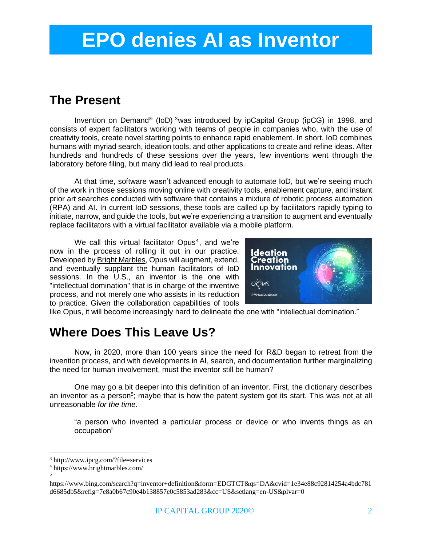# **EPO denies AI as Inventor**

#### **The Present**

Invention on Demand® (IoD) <sup>3</sup>was introduced by ipCapital Group (ipCG) in 1998, and consists of expert facilitators working with teams of people in companies who, with the use of creativity tools, create novel starting points to enhance rapid enablement. In short, IoD combines humans with myriad search, ideation tools, and other applications to create and refine ideas. After hundreds and hundreds of these sessions over the years, few inventions went through the laboratory before filing, but many did lead to real products.

At that time, software wasn't advanced enough to automate IoD, but we're seeing much of the work in those sessions moving online with creativity tools, enablement capture, and instant prior art searches conducted with software that contains a mixture of robotic process automation (RPA) and AI. In current IoD sessions, these tools are called up by facilitators rapidly typing to initiate, narrow, and guide the tools, but we're experiencing a transition to augment and eventually replace facilitators with a virtual facilitator available via a mobile platform.

We call this virtual facilitator Opus<sup>4</sup>, and we're now in the process of rolling it out in our practice. Developed by Bright [Marbles,](https://www.brightmarbles.com/) Opus will augment, extend, and eventually supplant the human facilitators of IoD sessions. In the U.S., an inventor is the one with "intellectual domination" that is in charge of the inventive process, and not merely one who assists in its reduction to practice. Given the collaboration capabilities of tools



like Opus, it will become increasingly hard to delineate the one with "intellectual domination."

## **Where Does This Leave Us?**

Now, in 2020, more than 100 years since the need for R&D began to retreat from the invention process, and with developments in AI, search, and documentation further marginalizing the need for human involvement, must the inventor still be human?

One may go a bit deeper into this definition of an inventor. First, the dictionary describes an inventor as a person<sup>5</sup>; maybe that is how the patent system got its start. This was not at all unreasonable *for the time*.

"a person who invented a particular process or device or who invents things as an occupation"

 $\overline{a}$ 

<sup>3</sup> http://www.ipcg.com/?file=services

<sup>4</sup> https://www.brightmarbles.com/

<sup>5</sup>

https://www.bing.com/search?q=inventor+definition&form=EDGTCT&qs=DA&cvid=1e34e88c92814254a4bdc781 d6685db5&refig=7e8a0b67c90e4b138857e0c5853ad283&cc=US&setlang=en-US&plvar=0